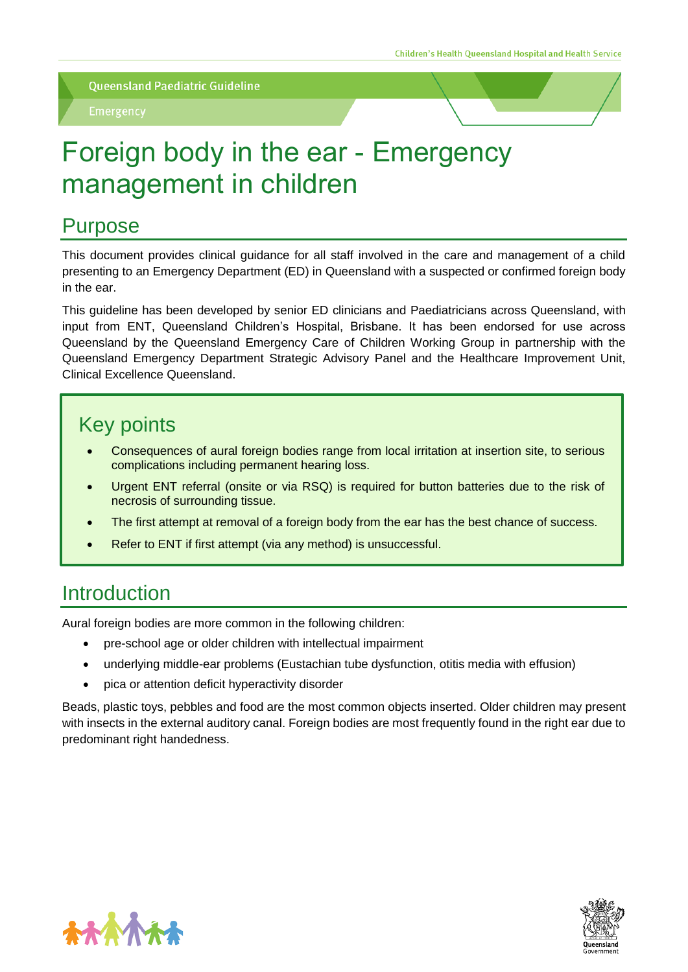# Foreign body in the ear - Emergency management in children

## Purpose

This document provides clinical guidance for all staff involved in the care and management of a child presenting to an Emergency Department (ED) in Queensland with a suspected or confirmed foreign body in the ear.

This guideline has been developed by senior ED clinicians and Paediatricians across Queensland, with input from ENT, Queensland Children's Hospital, Brisbane. It has been endorsed for use across Queensland by the Queensland Emergency Care of Children Working Group in partnership with the Queensland Emergency Department Strategic Advisory Panel and the Healthcare Improvement Unit, Clinical Excellence Queensland.

## Key points

- Consequences of aural foreign bodies range from local irritation at insertion site, to serious complications including permanent hearing loss.
- Urgent ENT referral (onsite or via RSQ) is required for button batteries due to the risk of necrosis of surrounding tissue.
- The first attempt at removal of a foreign body from the ear has the best chance of success.
- Refer to ENT if first attempt (via any method) is unsuccessful.

## **Introduction**

Aural foreign bodies are more common in the following children:

- pre-school age or older children with intellectual impairment
- underlying middle-ear problems (Eustachian tube dysfunction, otitis media with effusion)
- pica or attention deficit hyperactivity disorder

Beads, plastic toys, pebbles and food are the most common objects inserted. Older children may present with insects in the external auditory canal. Foreign bodies are most frequently found in the right ear due to predominant right handedness.



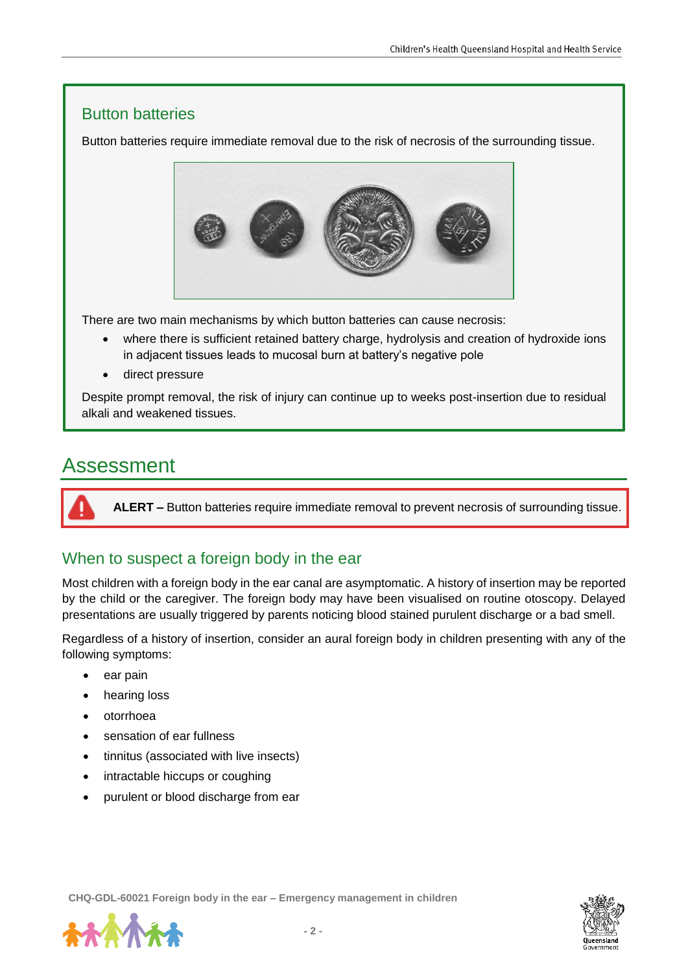#### Button batteries

Button batteries require immediate removal due to the risk of necrosis of the surrounding tissue.



There are two main mechanisms by which button batteries can cause necrosis:

- where there is sufficient retained battery charge, hydrolysis and creation of hydroxide ions in adjacent tissues leads to mucosal burn at battery's negative pole
- direct pressure

Despite prompt removal, the risk of injury can continue up to weeks post-insertion due to residual alkali and weakened tissues.

## Assessment

**ALERT –** Button batteries require immediate removal to prevent necrosis of surrounding tissue.

#### When to suspect a foreign body in the ear

Most children with a foreign body in the ear canal are asymptomatic. A history of insertion may be reported by the child or the caregiver. The foreign body may have been visualised on routine otoscopy. Delayed presentations are usually triggered by parents noticing blood stained purulent discharge or a bad smell.

Regardless of a history of insertion, consider an aural foreign body in children presenting with any of the following symptoms:

- ear pain
- hearing loss
- otorrhoea
- sensation of ear fullness
- tinnitus (associated with live insects)
- intractable hiccups or coughing
- purulent or blood discharge from ear



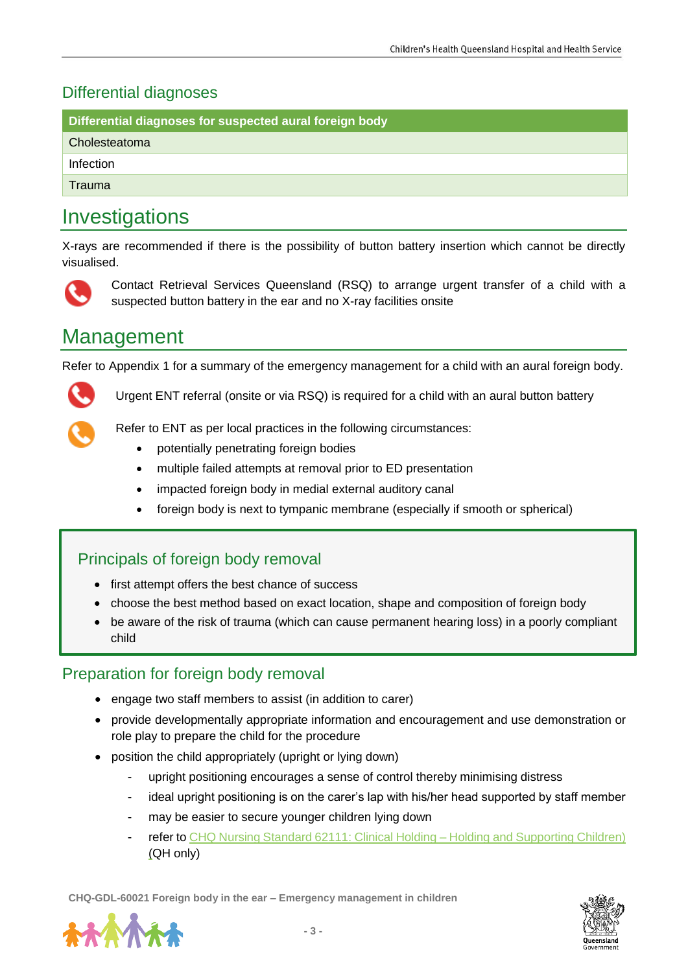#### Differential diagnoses

|  | Differential diagnoses for suspected aural foreign body |  |
|--|---------------------------------------------------------|--|
|  |                                                         |  |
|  |                                                         |  |

Cholesteatoma

Infection

Trauma

## Investigations

X-rays are recommended if there is the possibility of button battery insertion which cannot be directly visualised.



Contact Retrieval Services Queensland (RSQ) to arrange urgent transfer of a child with a suspected button battery in the ear and no X-ray facilities onsite

## Management

Refer to Appendix 1 for a summary of the emergency management for a child with an aural foreign body.



Urgent ENT referral (onsite or via RSQ) is required for a child with an aural button battery



Refer to ENT as per local practices in the following circumstances:

- potentially penetrating foreign bodies
- multiple failed attempts at removal prior to ED presentation
- impacted foreign body in medial external auditory canal
- foreign body is next to tympanic membrane (especially if smooth or spherical)

#### Principals of foreign body removal

- first attempt offers the best chance of success
- choose the best method based on exact location, shape and composition of foreign body
- be aware of the risk of trauma (which can cause permanent hearing loss) in a poorly compliant child

#### Preparation for foreign body removal

- engage two staff members to assist (in addition to carer)
- provide developmentally appropriate information and encouragement and use demonstration or role play to prepare the child for the procedure
- position the child appropriately (upright or lying down)
	- upright positioning encourages a sense of control thereby minimising distress
	- ideal upright positioning is on the carer's lap with his/her head supported by staff member
	- may be easier to secure younger children lying down
	- refer to CHQ Nursing [Standard 62111:](https://qheps.health.qld.gov.au/__data/assets/pdf_file/0026/2114765/ns-62111.pdf) Clinical Holding Holding and Supporting Children) (QH only)

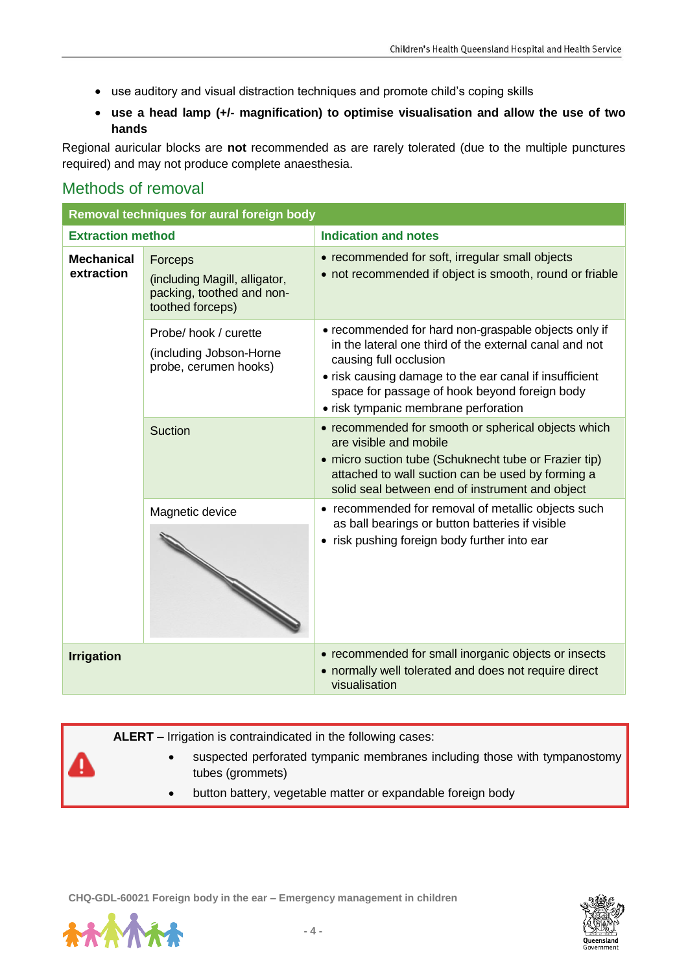- use auditory and visual distraction techniques and promote child's coping skills
- **use a head lamp (+/- magnification) to optimise visualisation and allow the use of two hands**

Regional auricular blocks are **not** recommended as are rarely tolerated (due to the multiple punctures required) and may not produce complete anaesthesia.

#### Methods of removal

| Removal techniques for aural foreign body |                                                                                           |                                                                                                                                                                                                                                                                                             |  |  |
|-------------------------------------------|-------------------------------------------------------------------------------------------|---------------------------------------------------------------------------------------------------------------------------------------------------------------------------------------------------------------------------------------------------------------------------------------------|--|--|
| <b>Extraction method</b>                  |                                                                                           | <b>Indication and notes</b>                                                                                                                                                                                                                                                                 |  |  |
| <b>Mechanical</b><br>extraction           | Forceps<br>(including Magill, alligator,<br>packing, toothed and non-<br>toothed forceps) | • recommended for soft, irregular small objects<br>• not recommended if object is smooth, round or friable                                                                                                                                                                                  |  |  |
|                                           | Probe/hook / curette<br>(including Jobson-Horne<br>probe, cerumen hooks)                  | • recommended for hard non-graspable objects only if<br>in the lateral one third of the external canal and not<br>causing full occlusion<br>• risk causing damage to the ear canal if insufficient<br>space for passage of hook beyond foreign body<br>• risk tympanic membrane perforation |  |  |
|                                           | Suction                                                                                   | • recommended for smooth or spherical objects which<br>are visible and mobile<br>• micro suction tube (Schuknecht tube or Frazier tip)<br>attached to wall suction can be used by forming a<br>solid seal between end of instrument and object                                              |  |  |
|                                           | Magnetic device                                                                           | • recommended for removal of metallic objects such<br>as ball bearings or button batteries if visible<br>• risk pushing foreign body further into ear                                                                                                                                       |  |  |
| <b>Irrigation</b>                         |                                                                                           | • recommended for small inorganic objects or insects<br>• normally well tolerated and does not require direct<br>visualisation                                                                                                                                                              |  |  |

**ALERT –** Irrigation is contraindicated in the following cases:

- suspected perforated tympanic membranes including those with tympanostomy tubes (grommets)
- button battery, vegetable matter or expandable foreign body



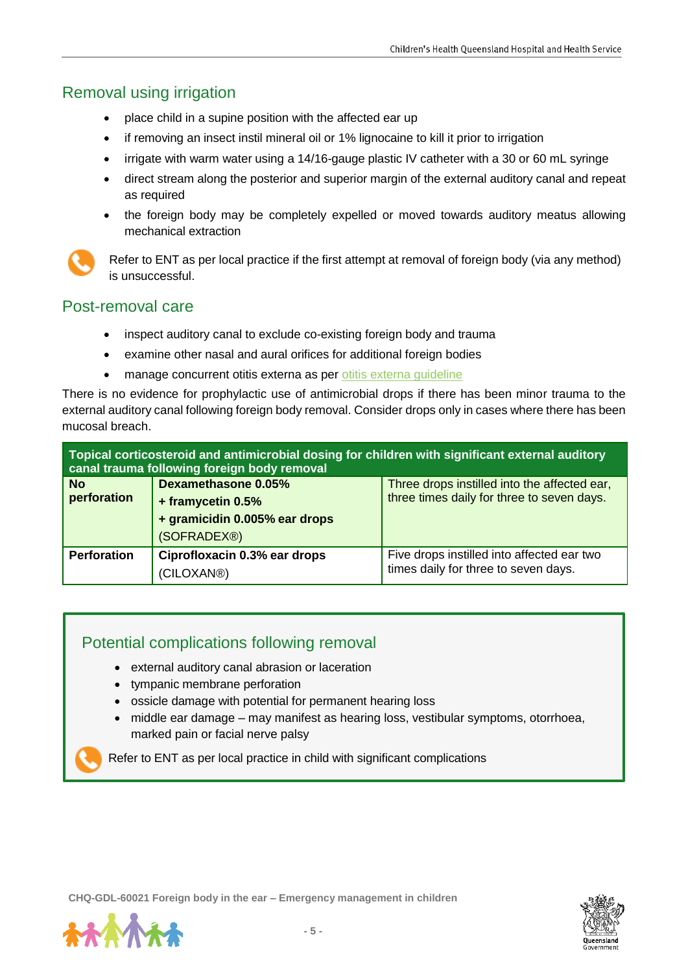#### Removal using irrigation

- place child in a supine position with the affected ear up
- if removing an insect instil mineral oil or 1% lignocaine to kill it prior to irrigation
- irrigate with warm water using a 14/16-gauge plastic IV catheter with a 30 or 60 mL syringe
- direct stream along the posterior and superior margin of the external auditory canal and repeat as required
- the foreign body may be completely expelled or moved towards auditory meatus allowing mechanical extraction



Refer to ENT as per local practice if the first attempt at removal of foreign body (via any method) is unsuccessful.

#### Post-removal care

- inspect auditory canal to exclude co-existing foreign body and trauma
- examine other nasal and aural orifices for additional foreign bodies
- manage concurrent otitis externa as per otitis externa quideline

There is no evidence for prophylactic use of antimicrobial drops if there has been minor trauma to the external auditory canal following foreign body removal. Consider drops only in cases where there has been mucosal breach.

| Topical corticosteroid and antimicrobial dosing for children with significant external auditory<br>canal trauma following foreign body removal |                               |                                              |
|------------------------------------------------------------------------------------------------------------------------------------------------|-------------------------------|----------------------------------------------|
| <b>No</b>                                                                                                                                      | <b>Dexamethasone 0.05%</b>    | Three drops instilled into the affected ear, |
| perforation                                                                                                                                    | + framycetin 0.5%             | three times daily for three to seven days.   |
|                                                                                                                                                | + gramicidin 0.005% ear drops |                                              |
|                                                                                                                                                | (SOFRADEX®)                   |                                              |
| <b>Perforation</b>                                                                                                                             | Ciprofloxacin 0.3% ear drops  | Five drops instilled into affected ear two   |
|                                                                                                                                                | (CILOXAN®)                    | times daily for three to seven days.         |

#### Potential complications following removal

- external auditory canal abrasion or laceration
- tympanic membrane perforation
- ossicle damage with potential for permanent hearing loss
- middle ear damage may manifest as hearing loss, vestibular symptoms, otorrhoea, marked pain or facial nerve palsy

Refer to ENT as per local practice in child with significant complications



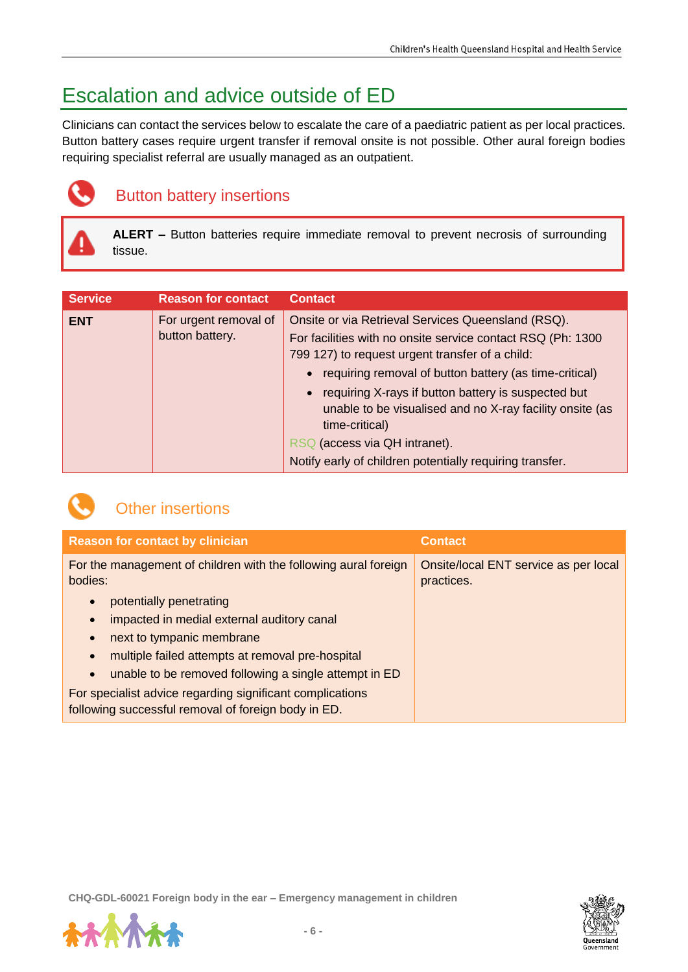## Escalation and advice outside of ED

Clinicians can contact the services below to escalate the care of a paediatric patient as per local practices. Button battery cases require urgent transfer if removal onsite is not possible. Other aural foreign bodies requiring specialist referral are usually managed as an outpatient.



### Button battery insertions

**ALERT –** Button batteries require immediate removal to prevent necrosis of surrounding tissue.

| <b>Service</b> | <b>Reason for contact</b>                | <b>Contact</b>                                                                                                                                                                                                                                                                                                                                                                                                                                                    |
|----------------|------------------------------------------|-------------------------------------------------------------------------------------------------------------------------------------------------------------------------------------------------------------------------------------------------------------------------------------------------------------------------------------------------------------------------------------------------------------------------------------------------------------------|
| <b>ENT</b>     | For urgent removal of<br>button battery. | Onsite or via Retrieval Services Queensland (RSQ).<br>For facilities with no onsite service contact RSQ (Ph: 1300)<br>799 127) to request urgent transfer of a child:<br>requiring removal of button battery (as time-critical)<br>requiring X-rays if button battery is suspected but<br>unable to be visualised and no X-ray facility onsite (as<br>time-critical)<br>RSQ (access via QH intranet).<br>Notify early of children potentially requiring transfer. |



#### Other insertions

| <b>Reason for contact by clinician</b>                                                                           | <b>Contact</b>                                      |
|------------------------------------------------------------------------------------------------------------------|-----------------------------------------------------|
| For the management of children with the following aural foreign<br>bodies:                                       | Onsite/local ENT service as per local<br>practices. |
| potentially penetrating<br>$\bullet$                                                                             |                                                     |
| impacted in medial external auditory canal<br>$\bullet$                                                          |                                                     |
| next to tympanic membrane<br>$\bullet$                                                                           |                                                     |
| multiple failed attempts at removal pre-hospital                                                                 |                                                     |
| unable to be removed following a single attempt in ED<br>$\bullet$                                               |                                                     |
| For specialist advice regarding significant complications<br>following successful removal of foreign body in ED. |                                                     |

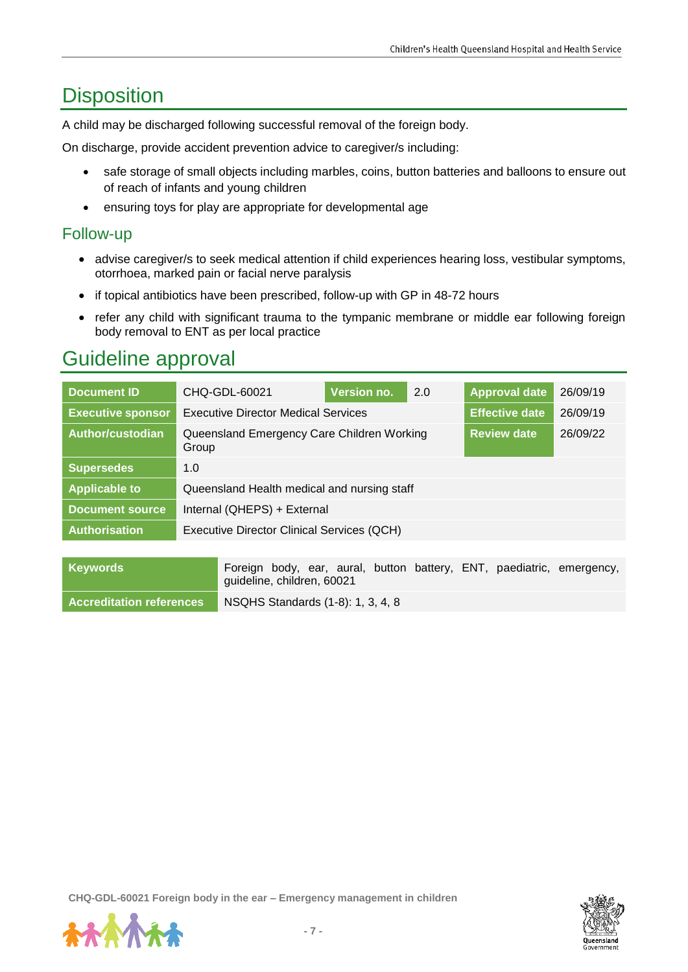## **Disposition**

A child may be discharged following successful removal of the foreign body.

On discharge, provide accident prevention advice to caregiver/s including:

- safe storage of small objects including marbles, coins, button batteries and balloons to ensure out of reach of infants and young children
- ensuring toys for play are appropriate for developmental age

#### Follow-up

- advise caregiver/s to seek medical attention if child experiences hearing loss, vestibular symptoms, otorrhoea, marked pain or facial nerve paralysis
- if topical antibiotics have been prescribed, follow-up with GP in 48-72 hours
- refer any child with significant trauma to the tympanic membrane or middle ear following foreign body removal to ENT as per local practice

## Guideline approval

| <b>Document ID</b>       | CHQ-GDL-60021                                       | Version no. | 2.0                   | <b>Approval date</b> | 26/09/19 |
|--------------------------|-----------------------------------------------------|-------------|-----------------------|----------------------|----------|
| <b>Executive sponsor</b> | <b>Executive Director Medical Services</b>          |             | <b>Effective date</b> | 26/09/19             |          |
| Author/custodian         | Queensland Emergency Care Children Working<br>Group |             | <b>Review date</b>    | 26/09/22             |          |
| <b>Supersedes</b>        | 1.0                                                 |             |                       |                      |          |
| <b>Applicable to</b>     | Queensland Health medical and nursing staff         |             |                       |                      |          |
| Document source          | Internal (QHEPS) + External                         |             |                       |                      |          |
| <b>Authorisation</b>     | Executive Director Clinical Services (QCH)          |             |                       |                      |          |
|                          |                                                     |             |                       |                      |          |

| Keywords                        | Foreign body, ear, aural, button battery, ENT, paediatric, emergency,<br>guideline, children, 60021 |
|---------------------------------|-----------------------------------------------------------------------------------------------------|
| <b>Accreditation references</b> | NSQHS Standards (1-8): 1, 3, 4, 8                                                                   |

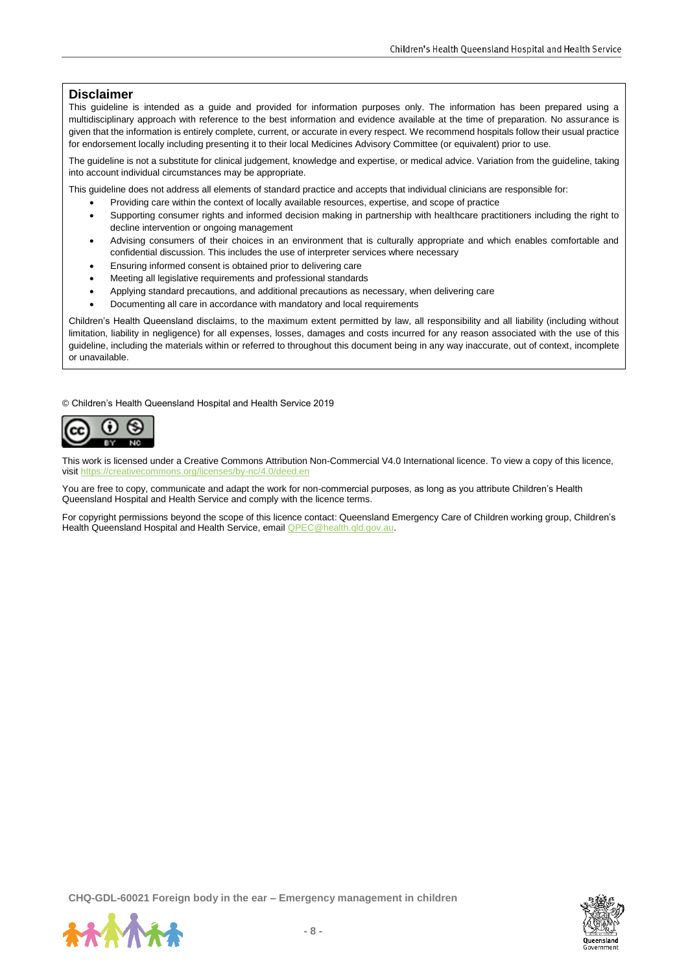#### **Disclaimer**

This guideline is intended as a guide and provided for information purposes only. The information has been prepared using a multidisciplinary approach with reference to the best information and evidence available at the time of preparation. No assurance is given that the information is entirely complete, current, or accurate in every respect. We recommend hospitals follow their usual practice for endorsement locally including presenting it to their local Medicines Advisory Committee (or equivalent) prior to use.

The guideline is not a substitute for clinical judgement, knowledge and expertise, or medical advice. Variation from the guideline, taking into account individual circumstances may be appropriate.

This guideline does not address all elements of standard practice and accepts that individual clinicians are responsible for:

- Providing care within the context of locally available resources, expertise, and scope of practice
- Supporting consumer rights and informed decision making in partnership with healthcare practitioners including the right to decline intervention or ongoing management
- Advising consumers of their choices in an environment that is culturally appropriate and which enables comfortable and confidential discussion. This includes the use of interpreter services where necessary
- Ensuring informed consent is obtained prior to delivering care
- Meeting all legislative requirements and professional standards
- Applying standard precautions, and additional precautions as necessary, when delivering care
- Documenting all care in accordance with mandatory and local requirements

Children's Health Queensland disclaims, to the maximum extent permitted by law, all responsibility and all liability (including without limitation, liability in negligence) for all expenses, losses, damages and costs incurred for any reason associated with the use of this guideline, including the materials within or referred to throughout this document being in any way inaccurate, out of context, incomplete or unavailable.

© Children's Health Queensland Hospital and Health Service 2019



This work is licensed under a Creative Commons Attribution Non-Commercial V4.0 International licence. To view a copy of this licence, visit<https://creativecommons.org/licenses/by-nc/4.0/deed.en>

You are free to copy, communicate and adapt the work for non-commercial purposes, as long as you attribute Children's Health Queensland Hospital and Health Service and comply with the licence terms.

For copyright permissions beyond the scope of this licence contact: Queensland Emergency Care of Children working group, Children's Health Queensland Hospital and Health Service, email QPEC@health.qld.gov.au.